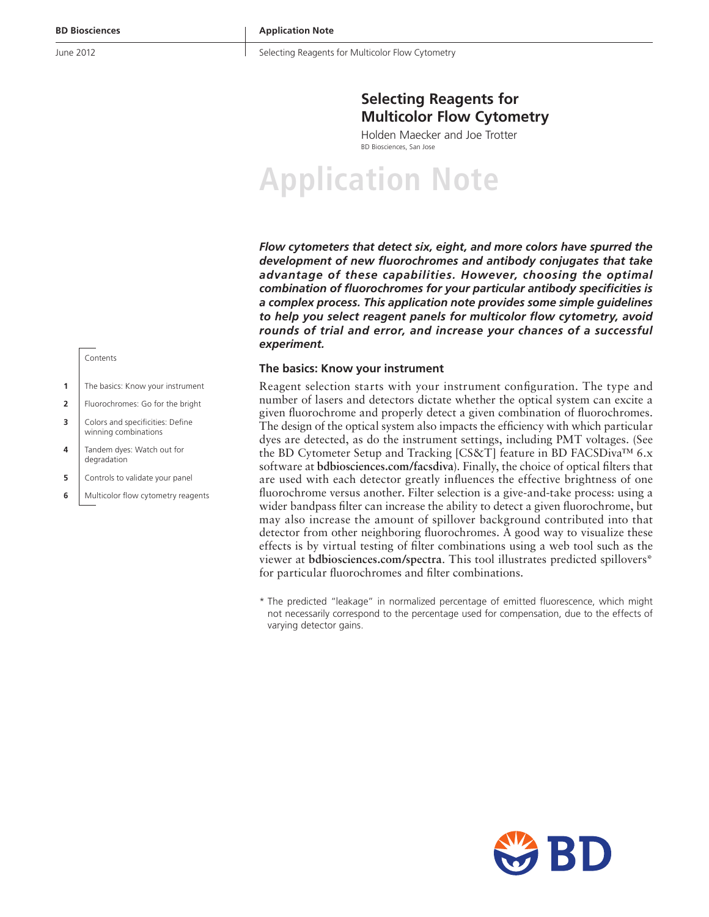Selecting Reagents for Multicolor Flow Cytometry

# **Selecting Reagents for Multicolor Flow Cytometry**

Holden Maecker and Joe Trotter BD Biosciences, San Jose

# **Application Note**

*Flow cytometers that detect six, eight, and more colors have spurred the development of new fluorochromes and antibody conjugates that take advantage of these capabilities. However, choosing the optimal combination of fluorochromes for your particular antibody specificities is a complex process. This application note provides some simple guidelines to help you select reagent panels for multicolor flow cytometry, avoid rounds of trial and error, and increase your chances of a successful experiment.*

### **The basics: Know your instrument**

Reagent selection starts with your instrument configuration. The type and number of lasers and detectors dictate whether the optical system can excite a given fluorochrome and properly detect a given combination of fluorochromes. The design of the optical system also impacts the efficiency with which particular dyes are detected, as do the instrument settings, including PMT voltages. (See the BD Cytometer Setup and Tracking [CS&T] feature in BD FACSDiva™ 6.x software at **bdbiosciences.com/facsdiva**). Finally, the choice of optical filters that are used with each detector greatly influences the effective brightness of one fluorochrome versus another. Filter selection is a give-and-take process: using a wider bandpass filter can increase the ability to detect a given fluorochrome, but may also increase the amount of spillover background contributed into that detector from other neighboring fluorochromes. A good way to visualize these effects is by virtual testing of filter combinations using a web tool such as the viewer at **bdbiosciences.com/spectra**. This tool illustrates predicted spillovers\* for particular fluorochromes and filter combinations.

\* The predicted "leakage" in normalized percentage of emitted fluorescence, which might not necessarily correspond to the percentage used for compensation, due to the effects of varying detector gains.



- **1** The basics: Know your instrument
- **2** | Fluorochromes: Go for the bright
- **3** Colors and specificities: Define winning combinations
- **4** Tandem dyes: Watch out for degradation
- **5** Controls to validate your panel
- **6** Multicolor flow cytometry reagents

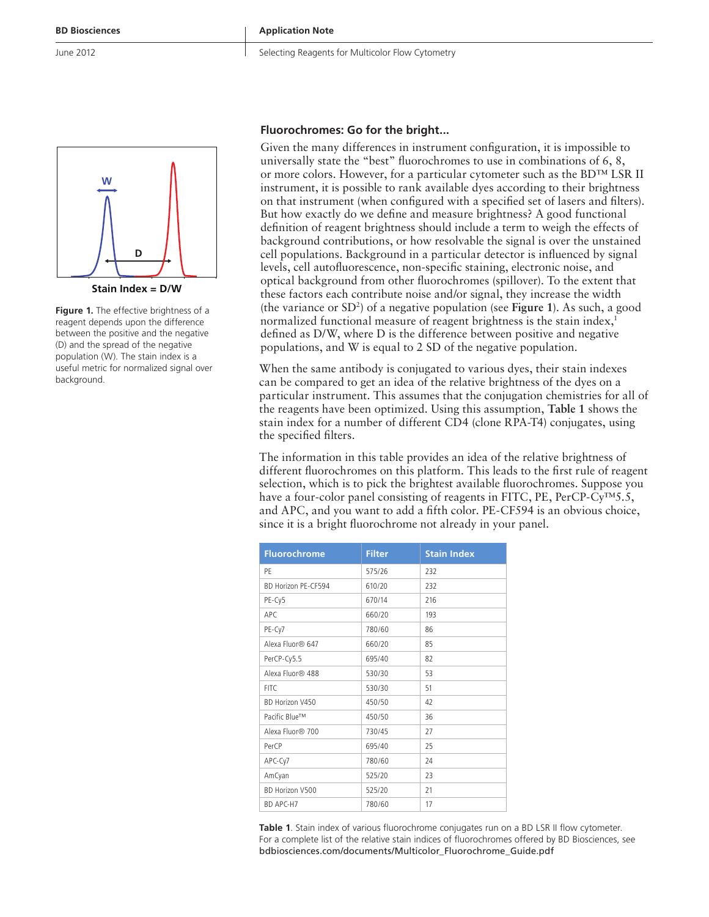

**Stain Index = D/W**

**Figure 1.** The effective brightness of a reagent depends upon the difference between the positive and the negative (D) and the spread of the negative population (W). The stain index is a useful metric for normalized signal over background.

#### **Fluorochromes: Go for the bright...**

Given the many differences in instrument configuration, it is impossible to universally state the "best" fluorochromes to use in combinations of 6, 8, or more colors. However, for a particular cytometer such as the BD™ LSR II instrument, it is possible to rank available dyes according to their brightness on that instrument (when configured with a specified set of lasers and filters). But how exactly do we define and measure brightness? A good functional definition of reagent brightness should include a term to weigh the effects of background contributions, or how resolvable the signal is over the unstained cell populations. Background in a particular detector is influenced by signal levels, cell autofluorescence, non-specific staining, electronic noise, and optical background from other fluorochromes (spillover). To the extent that these factors each contribute noise and/or signal, they increase the width (the variance or SD2 ) of a negative population (see **Figure 1**). As such, a good normalized functional measure of reagent brightness is the stain index,<sup>1</sup> defined as D/W, where D is the difference between positive and negative populations, and W is equal to 2 SD of the negative population.

When the same antibody is conjugated to various dyes, their stain indexes can be compared to get an idea of the relative brightness of the dyes on a particular instrument. This assumes that the conjugation chemistries for all of the reagents have been optimized. Using this assumption, **Table 1** shows the stain index for a number of different CD4 (clone RPA-T4) conjugates, using the specified filters.

The information in this table provides an idea of the relative brightness of different fluorochromes on this platform. This leads to the first rule of reagent selection, which is to pick the brightest available fluorochromes. Suppose you have a four-color panel consisting of reagents in FITC, PE, PerCP-Cy™5.5, and APC, and you want to add a fifth color. PE-CF594 is an obvious choice, since it is a bright fluorochrome not already in your panel.

| <b>Fluorochrome</b> | <b>Filter</b> | <b>Stain Index</b> |
|---------------------|---------------|--------------------|
| PF                  | 575/26        | 232                |
| BD Horizon PE-CE594 | 610/20        | 232                |
| PE-Cy5              | 670/14        | 216                |
| APC.                | 660/20        | 193                |
| PE-Cy7              | 780/60        | 86                 |
| Alexa Fluor® 647    | 660/20        | 85                 |
| PerCP-Cy5.5         | 695/40        | 82                 |
| Alexa Fluor® 488    | 530/30        | 53                 |
| FITC.               | 530/30        | 51                 |
| BD Horizon V450     | 450/50        | 42                 |
| Pacific Blue™       | 450/50        | 36                 |
| Alexa Fluor® 700    | 730/45        | 27                 |
| PerCP               | 695/40        | 25                 |
| APC-Cy7             | 780/60        | 24                 |
| AmCyan              | 525/20        | 23                 |
| BD Horizon V500     | 525/20        | 21                 |
| BD APC-H7           | 780/60        | 17                 |

**Table 1**. Stain index of various fluorochrome conjugates run on a BD LSR II flow cytometer. For a complete list of the relative stain indices of fluorochromes offered by BD Biosciences, see bdbiosciences.com/documents/Multicolor\_Fluorochrome\_Guide.pdf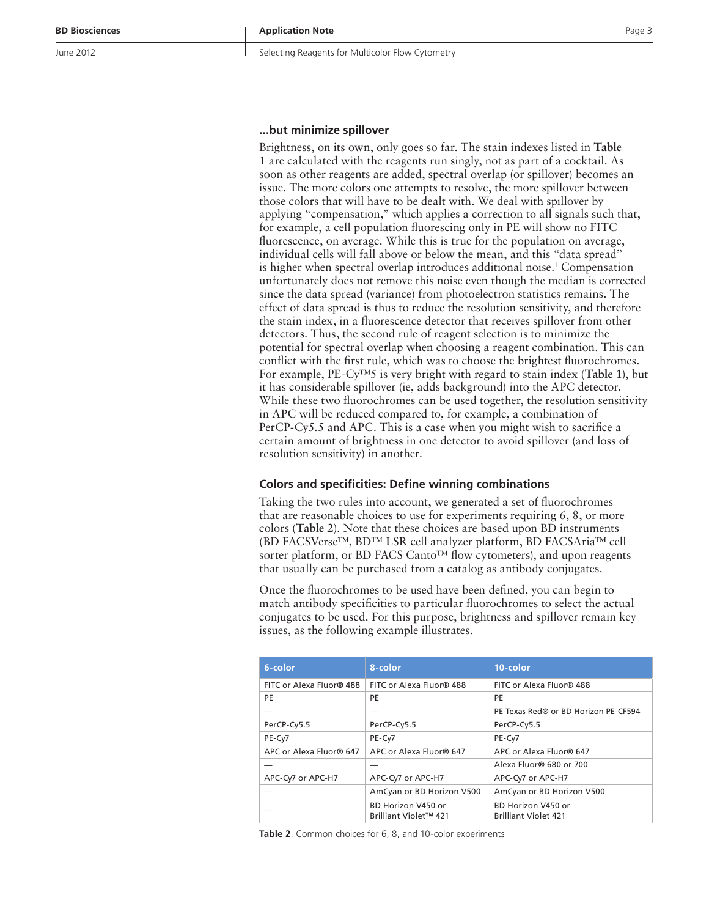Selecting Reagents for Multicolor Flow Cytometry

## **...but minimize spillover**

Brightness, on its own, only goes so far. The stain indexes listed in **Table 1** are calculated with the reagents run singly, not as part of a cocktail. As soon as other reagents are added, spectral overlap (or spillover) becomes an issue. The more colors one attempts to resolve, the more spillover between those colors that will have to be dealt with. We deal with spillover by applying "compensation," which applies a correction to all signals such that, for example, a cell population fluorescing only in PE will show no FITC fluorescence, on average. While this is true for the population on average, individual cells will fall above or below the mean, and this "data spread" is higher when spectral overlap introduces additional noise.<sup>1</sup> Compensation unfortunately does not remove this noise even though the median is corrected since the data spread (variance) from photoelectron statistics remains. The effect of data spread is thus to reduce the resolution sensitivity, and therefore the stain index, in a fluorescence detector that receives spillover from other detectors. Thus, the second rule of reagent selection is to minimize the potential for spectral overlap when choosing a reagent combination. This can conflict with the first rule, which was to choose the brightest fluorochromes. For example, PE-Cy™5 is very bright with regard to stain index (**Table 1**), but it has considerable spillover (ie, adds background) into the APC detector. While these two fluorochromes can be used together, the resolution sensitivity in APC will be reduced compared to, for example, a combination of PerCP-Cy5.5 and APC. This is a case when you might wish to sacrifice a certain amount of brightness in one detector to avoid spillover (and loss of resolution sensitivity) in another.

#### **Colors and specificities: Define winning combinations**

Taking the two rules into account, we generated a set of fluorochromes that are reasonable choices to use for experiments requiring 6, 8, or more colors (**Table 2**). Note that these choices are based upon BD instruments (BD FACSVerse™, BD™ LSR cell analyzer platform, BD FACSAria™ cell sorter platform, or BD FACS Canto™ flow cytometers), and upon reagents that usually can be purchased from a catalog as antibody conjugates.

Once the fluorochromes to be used have been defined, you can begin to match antibody specificities to particular fluorochromes to select the actual conjugates to be used. For this purpose, brightness and spillover remain key issues, as the following example illustrates.

| 6-color                  | 8-color                                     | 10-color                                          |  |  |  |  |  |
|--------------------------|---------------------------------------------|---------------------------------------------------|--|--|--|--|--|
| FITC or Alexa Fluor® 488 | FITC or Alexa Fluor® 488                    | FITC or Alexa Fluor® 488                          |  |  |  |  |  |
| PE                       | PE                                          | PE                                                |  |  |  |  |  |
|                          |                                             | PE-Texas Red® or BD Horizon PE-CF594              |  |  |  |  |  |
| PerCP-Cy5.5              | PerCP-Cy5.5                                 | PerCP-Cy5.5                                       |  |  |  |  |  |
| PE-Cy7                   | PE-Cy7                                      | PE-Cy7                                            |  |  |  |  |  |
| APC or Alexa Fluor® 647  | APC or Alexa Fluor® 647                     | APC or Alexa Fluor® 647                           |  |  |  |  |  |
|                          |                                             | Alexa Fluor® 680 or 700                           |  |  |  |  |  |
| APC-Cy7 or APC-H7        | APC-Cy7 or APC-H7                           | APC-Cy7 or APC-H7                                 |  |  |  |  |  |
|                          | AmCyan or BD Horizon V500                   | AmCyan or BD Horizon V500                         |  |  |  |  |  |
|                          | BD Horizon V450 or<br>Brilliant Violet™ 421 | BD Horizon V450 or<br><b>Brilliant Violet 421</b> |  |  |  |  |  |

**Table 2**. Common choices for 6, 8, and 10-color experiments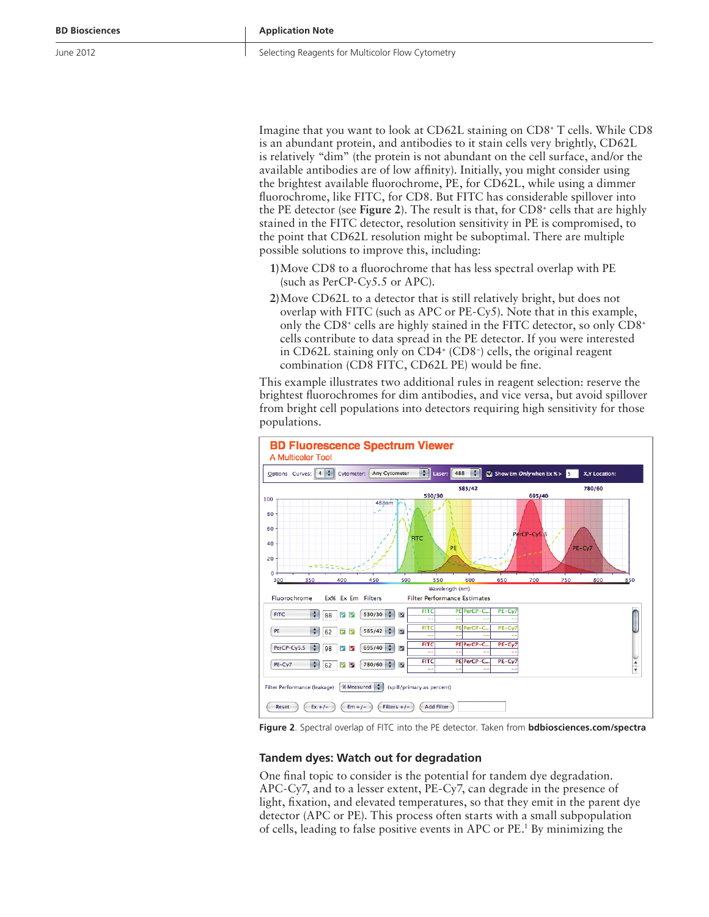Imagine that you want to look at CD62L staining on CD8+ T cells. While CD8 is an abundant protein, and antibodies to it stain cells very brightly, CD62L is relatively "dim" (the protein is not abundant on the cell surface, and/or the available antibodies are of low affinity). Initially, you might consider using the brightest available fluorochrome, PE, for CD62L, while using a dimmer fluorochrome, like FITC, for CD8. But FITC has considerable spillover into the PE detector (see Figure 2). The result is that, for CD8<sup>+</sup> cells that are highly stained in the FITC detector, resolution sensitivity in PE is compromised, to the point that CD62L resolution might be suboptimal. There are multiple possible solutions to improve this, including:

- **1)** Move CD8 to a fluorochrome that has less spectral overlap with PE (such as PerCP-Cy5.5 or APC).
- **2)** Move CD62L to a detector that is still relatively bright, but does not overlap with FITC (such as APC or PE-Cy5). Note that in this example, only the CD8+ cells are highly stained in the FITC detector, so only CD8+ cells contribute to data spread in the PE detector. If you were interested in CD62L staining only on CD4+ (CD8– ) cells, the original reagent combination (CD8 FITC, CD62L PE) would be fine.

This example illustrates two additional rules in reagent selection: reserve the brightest fluorochromes for dim antibodies, and vice versa, but avoid spillover from bright cell populations into detectors requiring high sensitivity for those populations.



**Figure 2**. Spectral overlap of FITC into the PE detector. Taken from **bdbiosciences.com/spectra**

#### **Tandem dyes: Watch out for degradation**

One final topic to consider is the potential for tandem dye degradation. APC-Cy7, and to a lesser extent, PE-Cy7, can degrade in the presence of light, fixation, and elevated temperatures, so that they emit in the parent dye detector (APC or PE). This process often starts with a small subpopulation of cells, leading to false positive events in APC or PE.1 By minimizing the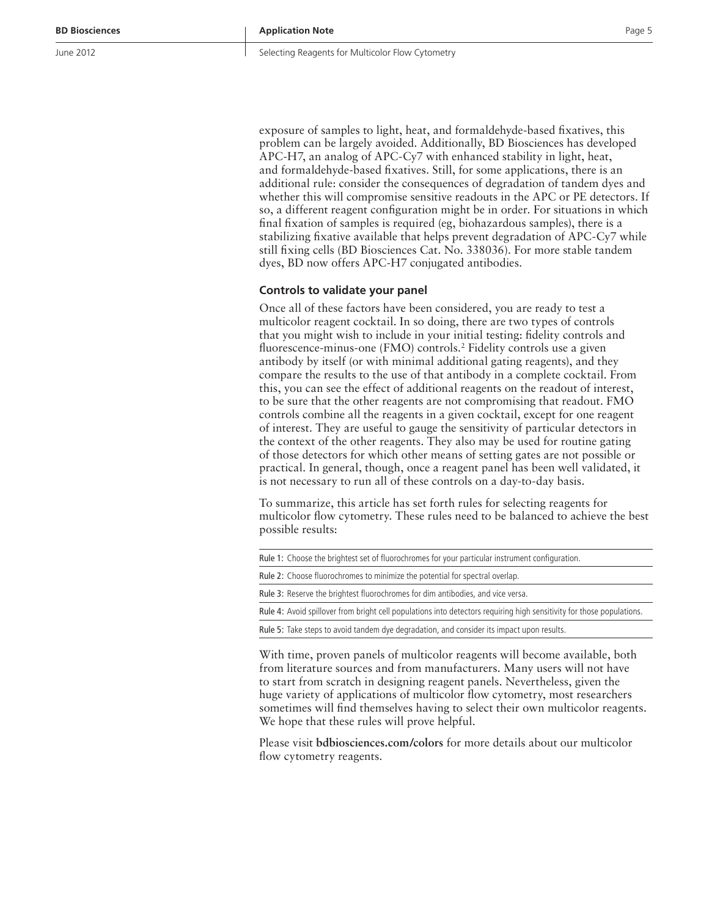Selecting Reagents for Multicolor Flow Cytometry

exposure of samples to light, heat, and formaldehyde-based fixatives, this problem can be largely avoided. Additionally, BD Biosciences has developed APC-H7, an analog of APC-Cy7 with enhanced stability in light, heat, and formaldehyde-based fixatives. Still, for some applications, there is an additional rule: consider the consequences of degradation of tandem dyes and whether this will compromise sensitive readouts in the APC or PE detectors. If so, a different reagent configuration might be in order. For situations in which final fixation of samples is required (eg, biohazardous samples), there is a stabilizing fixative available that helps prevent degradation of APC-Cy7 while still fixing cells (BD Biosciences Cat. No. 338036). For more stable tandem dyes, BD now offers APC-H7 conjugated antibodies.

#### **Controls to validate your panel**

Once all of these factors have been considered, you are ready to test a multicolor reagent cocktail. In so doing, there are two types of controls that you might wish to include in your initial testing: fidelity controls and fluorescence-minus-one (FMO) controls.2 Fidelity controls use a given antibody by itself (or with minimal additional gating reagents), and they compare the results to the use of that antibody in a complete cocktail. From this, you can see the effect of additional reagents on the readout of interest, to be sure that the other reagents are not compromising that readout. FMO controls combine all the reagents in a given cocktail, except for one reagent of interest. They are useful to gauge the sensitivity of particular detectors in the context of the other reagents. They also may be used for routine gating of those detectors for which other means of setting gates are not possible or practical. In general, though, once a reagent panel has been well validated, it is not necessary to run all of these controls on a day-to-day basis.

To summarize, this article has set forth rules for selecting reagents for multicolor flow cytometry. These rules need to be balanced to achieve the best possible results:

Rule 1: Choose the brightest set of fluorochromes for your particular instrument configuration.

Rule 2: Choose fluorochromes to minimize the potential for spectral overlap.

Rule 3: Reserve the brightest fluorochromes for dim antibodies, and vice versa.

Rule 4: Avoid spillover from bright cell populations into detectors requiring high sensitivity for those populations.

Rule 5: Take steps to avoid tandem dye degradation, and consider its impact upon results.

With time, proven panels of multicolor reagents will become available, both from literature sources and from manufacturers. Many users will not have to start from scratch in designing reagent panels. Nevertheless, given the huge variety of applications of multicolor flow cytometry, most researchers sometimes will find themselves having to select their own multicolor reagents. We hope that these rules will prove helpful.

Please visit **bdbiosciences.com/colors** for more details about our multicolor flow cytometry reagents.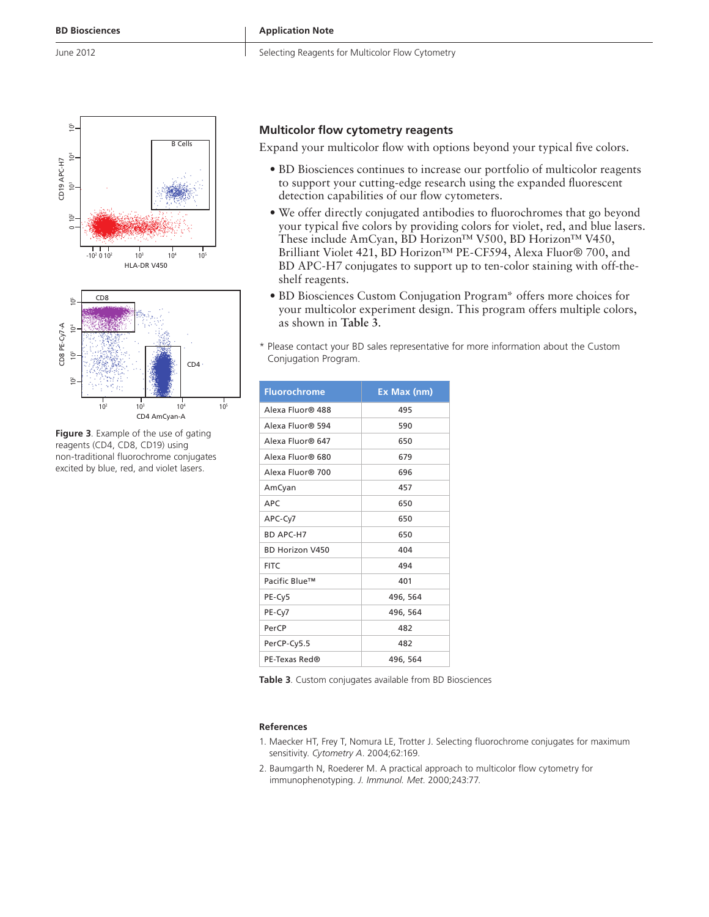Selecting Reagents for Multicolor Flow Cytometry





**Figure 3**. Example of the use of gating reagents (CD4, CD8, CD19) using non-traditional fluorochrome conjugates excited by blue, red, and violet lasers.

# **Multicolor flow cytometry reagents**

Expand your multicolor flow with options beyond your typical five colors.

- BD Biosciences continues to increase our portfolio of multicolor reagents to support your cutting-edge research using the expanded fluorescent detection capabilities of our flow cytometers.
- We offer directly conjugated antibodies to fluorochromes that go beyond your typical five colors by providing colors for violet, red, and blue lasers. These include AmCyan, BD Horizon™ V500, BD Horizon™ V450, Brilliant Violet 421, BD Horizon™ PE-CF594, Alexa Fluor® 700, and BD APC-H7 conjugates to support up to ten-color staining with off-theshelf reagents.
- BD Biosciences Custom Conjugation Program\* offers more choices for your multicolor experiment design. This program offers multiple colors, as shown in **Table 3**.
- \* Please contact your BD sales representative for more information about the Custom Conjugation Program.

| <b>Fluorochrome</b>    | Ex Max (nm) |
|------------------------|-------------|
| Alexa Fluor® 488       | 495         |
| Alexa Fluor® 594       | 590         |
| Alexa Fluor® 647       | 650         |
| Alexa Fluor® 680       | 679         |
| Alexa Fluor® 700       | 696         |
| AmCyan                 | 457         |
| <b>APC</b>             | 650         |
| APC-Cy7                | 650         |
| <b>BD APC-H7</b>       | 650         |
| <b>BD Horizon V450</b> | 404         |
| <b>FITC</b>            | 494         |
| Pacific Blue™          | 401         |
| PE-Cy5                 | 496, 564    |
| PE-Cy7                 | 496, 564    |
| PerCP                  | 482         |
| PerCP-Cy5.5            | 482         |
| PE-Texas Red®          | 496, 564    |

**Table 3**. Custom conjugates available from BD Biosciences

#### **References**

- 1. Maecker HT, Frey T, Nomura LE, Trotter J. Selecting fluorochrome conjugates for maximum sensitivity. *Cytometry A*. 2004;62:169.
- 2. Baumgarth N, Roederer M. A practical approach to multicolor flow cytometry for immunophenotyping. *J. Immunol. Met*. 2000;243:77.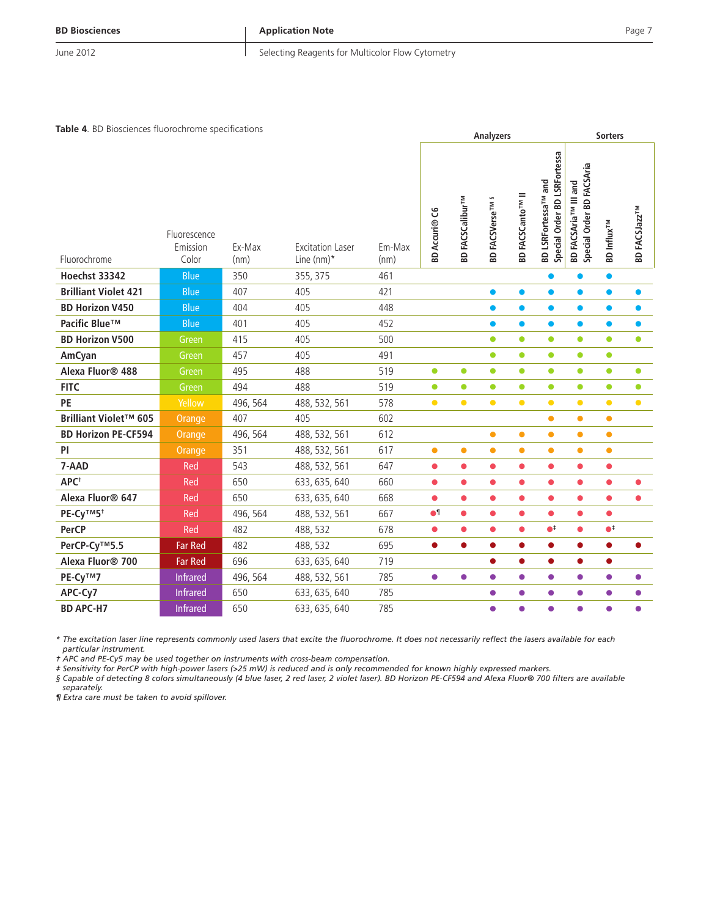#### **BD Biosciences**

**Application Note**

June 2012

#### Selecting Reagents for Multicolor Flow Cytometry

**Table 4**. BD Biosciences fluorochrome specifications

| Fluorochrome                 | Fluorescence<br>Emission<br>Color | Ex-Max<br>(nm) | <b>Excitation Laser</b><br>Line (nm)* | Em-Max<br>(nm) | <b>BD Accuri® C6</b> | <b>BD FACSCalibur<sup>TM</sup></b> | S<br><b>BD FACSVerseTM</b> | <b>BD FACSCanto<sup>TM</sup> II</b> | <b>BD LSRFortessa</b><br>BD LSRFortessa <sup>TM</sup> and<br>Order<br>Special | BD FACSAria <sup>rw</sup> III and<br>Special Order BD FACSAria | <b>BD</b> Influx <sup>TM</sup> | <b>BD FACSJazzTM</b> |
|------------------------------|-----------------------------------|----------------|---------------------------------------|----------------|----------------------|------------------------------------|----------------------------|-------------------------------------|-------------------------------------------------------------------------------|----------------------------------------------------------------|--------------------------------|----------------------|
| <b>Hoechst 33342</b>         | <b>Blue</b>                       | 350            | 355, 375                              | 461            |                      |                                    |                            |                                     | ●                                                                             |                                                                | $\bullet$                      |                      |
| <b>Brilliant Violet 421</b>  | <b>Blue</b>                       | 407            | 405                                   | 421            |                      |                                    | $\bullet$                  | $\bullet$                           | $\bullet$                                                                     | $\bullet$                                                      | $\bullet$                      | $\bullet$            |
| <b>BD Horizon V450</b>       | <b>Blue</b>                       | 404            | 405                                   | 448            |                      |                                    | $\bullet$                  | $\bullet$                           | $\bullet$                                                                     | $\bullet$                                                      | $\bullet$                      | $\bullet$            |
| Pacific Blue™                | <b>Blue</b>                       | 401            | 405                                   | 452            |                      |                                    | $\bullet$                  | $\bullet$                           | $\bullet$                                                                     | $\bullet$                                                      | $\bullet$                      | $\bullet$            |
| <b>BD Horizon V500</b>       | Green                             | 415            | 405                                   | 500            |                      |                                    | $\bullet$                  | $\bullet$                           | $\bullet$                                                                     | $\bullet$                                                      | $\bullet$                      | $\bullet$            |
| AmCyan                       | Green                             | 457            | 405                                   | 491            |                      |                                    | $\bullet$                  | $\bullet$                           | $\bullet$                                                                     | $\bullet$                                                      | $\bullet$                      |                      |
| Alexa Fluor® 488             | Green                             | 495            | 488                                   | 519            | $\bullet$            | $\bullet$                          | $\bullet$                  | $\bullet$                           | $\bullet$                                                                     | $\bullet$                                                      | $\bullet$                      | $\bullet$            |
| <b>FITC</b>                  | Green                             | 494            | 488                                   | 519            | $\bullet$            | $\bullet$                          | $\bullet$                  | $\bullet$                           | $\bullet$                                                                     | $\bullet$                                                      | $\bullet$                      | $\bullet$            |
| PE                           | Yellow                            | 496, 564       | 488, 532, 561                         | 578            | $\bullet$            | $\bullet$                          | $\bullet$                  | $\bullet$                           | $\bullet$                                                                     | $\bullet$                                                      | $\bullet$                      | $\bullet$            |
| Brilliant Violet™ 605        | Orange                            | 407            | 405                                   | 602            |                      |                                    |                            |                                     | $\bullet$                                                                     | $\bullet$                                                      | $\bullet$                      |                      |
| <b>BD Horizon PE-CF594</b>   | Orange                            | 496, 564       | 488, 532, 561                         | 612            |                      |                                    | $\bullet$                  | $\bullet$                           | $\bullet$                                                                     | $\bullet$                                                      | $\bullet$                      |                      |
| <b>PI</b>                    | Orange                            | 351            | 488, 532, 561                         | 617            | $\bullet$            | $\bullet$                          | $\bullet$                  | $\bullet$                           | $\bullet$                                                                     | $\bullet$                                                      | $\bullet$                      |                      |
| 7-AAD                        | Red                               | 543            | 488, 532, 561                         | 647            | $\bullet$            | $\bullet$                          | $\bullet$                  | $\bullet$                           | $\bullet$                                                                     | $\bullet$                                                      | $\bullet$                      |                      |
| APC <sup>+</sup>             | Red                               | 650            | 633, 635, 640                         | 660            | $\bullet$            | $\bullet$                          | $\bullet$                  | $\bullet$                           | $\bullet$                                                                     | $\bullet$                                                      | $\bullet$                      | $\bullet$            |
| Alexa Fluor <sup>®</sup> 647 | Red                               | 650            | 633, 635, 640                         | 668            | $\bullet$            | $\bullet$                          | $\bullet$                  | $\bullet$                           | $\bullet$                                                                     | $\bullet$                                                      | $\bullet$                      | $\bullet$            |
| PE-Cy™5 <sup>+</sup>         | Red                               | 496, 564       | 488, 532, 561                         | 667            | $\bullet$            | $\bullet$                          | $\bullet$                  | $\bullet$                           | $\bullet$                                                                     | $\bullet$                                                      | $\bullet$                      |                      |
| <b>PerCP</b>                 | Red                               | 482            | 488, 532                              | 678            | $\bullet$            | $\bullet$                          | $\bullet$                  | $\bullet$                           | $\bullet^\ddag$                                                               | $\bullet$                                                      | $\bullet^{\ddagger}$           |                      |
| PerCP-Cy™5.5                 | <b>Far Red</b>                    | 482            | 488, 532                              | 695            | $\bullet$            | $\bullet$                          | $\bullet$                  | $\bullet$                           | $\bullet$                                                                     | $\bullet$                                                      | $\bullet$                      | ●                    |
| Alexa Fluor <sup>®</sup> 700 | <b>Far Red</b>                    | 696            | 633, 635, 640                         | 719            |                      |                                    | $\bullet$                  | $\bullet$                           | $\bullet$                                                                     | $\bullet$                                                      | $\bullet$                      |                      |
| PE-Cy™7                      | <b>Infrared</b>                   | 496, 564       | 488, 532, 561                         | 785            | $\bullet$            | $\bullet$                          | $\bullet$                  | $\bullet$                           | $\bullet$                                                                     | $\bullet$                                                      | $\bullet$                      | $\bullet$            |
| APC-Cy7                      | <b>Infrared</b>                   | 650            | 633, 635, 640                         | 785            |                      |                                    | $\bullet$                  | $\bullet$                           | $\bullet$                                                                     | $\bullet$                                                      | $\bullet$                      | $\bullet$            |
| <b>BD APC-H7</b>             | <b>Infrared</b>                   | 650            | 633, 635, 640                         | 785            |                      |                                    | $\bullet$                  | $\bullet$                           | $\bullet$                                                                     | $\bullet$                                                      | $\bullet$                      | $\bullet$            |

*\* The excitation laser line represents commonly used lasers that excite the fluorochrome. It does not necessarily reflect the lasers available for each particular instrument.*

*† APC and PE-Cy5 may be used together on instruments with cross-beam compensation.*

*‡ Sensitivity for PerCP with high-power lasers (>25 mW) is reduced and is only recommended for known highly expressed markers.*

*§ Capable of detecting 8 colors simultaneously (4 blue laser, 2 red laser, 2 violet laser). BD Horizon PE-CF594 and Alexa Fluor® 700 filters are available* 

*separately.*

*¶ Extra care must be taken to avoid spillover.*

**Analyzers Sorters**